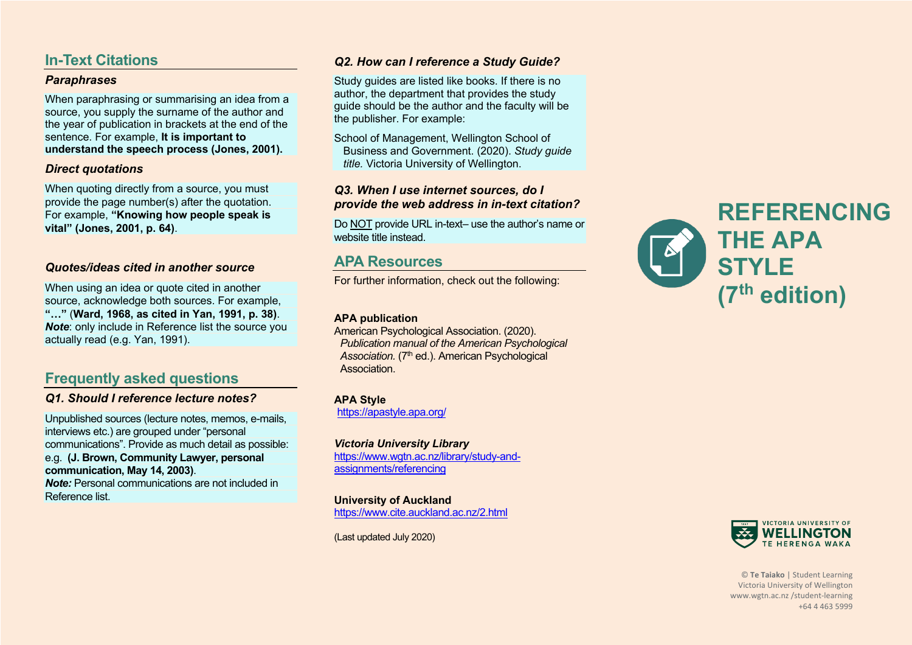# **In-Text Citations**

### *Paraphrases*

When paraphrasing or summarising an idea from a source, you supply the surname of the author and the year of publication in brackets at the end of the sentence. For example, **It is important to understand the speech process (Jones, 2001).** 

### *Direct quotations*

When quoting directly from a source, you must provide the page number(s) after the quotation. For example, **"Knowing how people speak is vital" (Jones, 2001, p. 64)**.

## *Quotes/ideas cited in another source*

When using an idea or quote cited in another source, acknowledge both sources. For example, **"…"** (**Ward, 1968, as cited in Yan, 1991, p. 38)**. *Note*: only include in Reference list the source you actually read (e.g. Yan, 1991).

# **Frequently asked questions**

### *Q1. Should I reference lecture notes?*

Unpublished sources (lecture notes, memos, e-mails, interviews etc.) are grouped under "personal communications". Provide as much detail as possible: e.g. **(J. Brown, Community Lawyer, personal communication, May 14, 2003)**. *Note:* Personal communications are not included in

Reference list.

## *Q2. How can I reference a Study Guide?*

Study guides are listed like books. If there is no author, the department that provides the study guide should be the author and the faculty will be the publisher. For example:

School of Management, Wellington School of Business and Government. (2020). *Study guide title.* Victoria University of Wellington.

## *Q3. When I use internet sources, do I provide the web address in in-text citation?*

Do NOT provide URL in-text– use the author's name or website title instead.

## **APA Resources**

For further information, check out the following:

#### **APA publication**

American Psychological Association. (2020). *Publication manual of the American Psychological*  Association. (7<sup>th</sup> ed.). American Psychological **Association** 

**APA Style** https://apastyle.apa.org/

*Victoria University Library* https://www.wgtn.ac.nz/library/study-andassignments/referencing

**University of Auckland** https://www.cite.auckland.ac.nz/2.html

(Last updated July 2020)





© **Te Taiako** | Student Learning Victoria University of Wellington www.wgtn.ac.nz /student-learning +64 4 463 5999